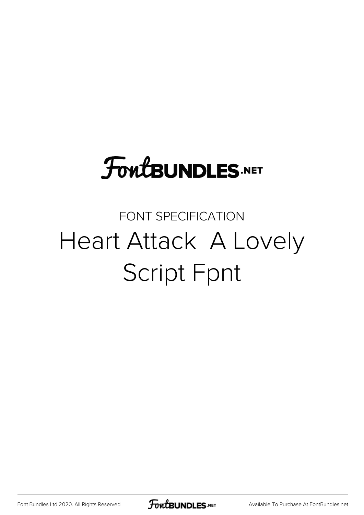### **FoutBUNDLES.NET**

#### FONT SPECIFICATION Heart Attack A Lovely Script Fpnt

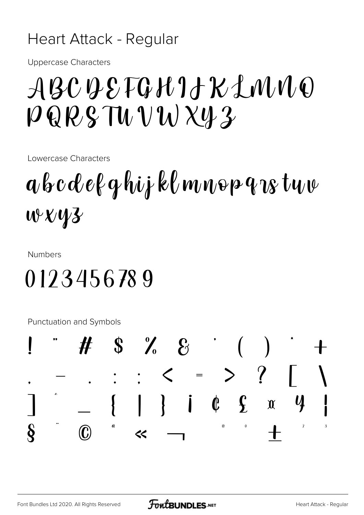#### Heart Attack - Regular

**Uppercase Characters** 

#### ABCQEFGHIAKLMMO  $PQRSTWVWX43$

Lowercase Characters

## $a$  b c d e f q hij kl m n o p q  $\alpha$  tu v  $W$   $V$   $V$   $3$

**Numbers** 

#### 0123456789

Punctuation and Symbols

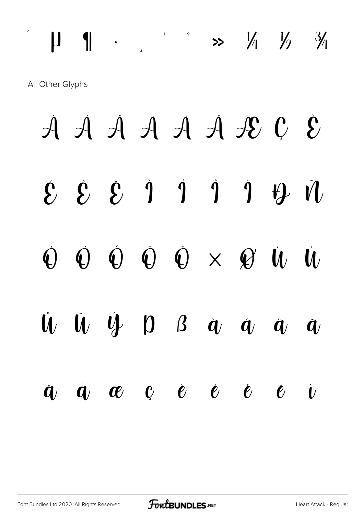# $\begin{array}{ccc} \begin{array}{ccccccc} \text{II} & \text{II} & \cdot & \cdot & \cdot & \cdot & \cdot & \times & \frac{1}{4} & \frac{1}{2} & \frac{3}{4} \end{array} \end{array}$

All Other Glyphs

À Á Â Ã Ä Å Æ Ç È  $\mathcal{E} \quad \mathcal{E} \quad \mathcal{E} \quad \mathcal{I} \quad \mathcal{I} \quad \mathcal{I} \quad \mathcal{I} \quad \mathcal{I} \quad \mathcal{V}$  $\begin{array}{ccccccc}\n\mathbf{O} & \mathbf{O} & \mathbf{O} & \mathbf{O} & \mathbf{O} & \times & \mathbf{O} & \mathbf{W} & \mathbf{W}\n\end{array}$  $\begin{array}{ccccccccccccccccc} \hat{U} & \hat{U} & \hat{U} & \hat{Y} & D & B & \hat{q} & \hat{q} & \hat{q} & \hat{q} \end{array}$  $\dot{a}$ ,  $\dot{a}$ ,  $\alpha$  c è é è è  $\dot{v}$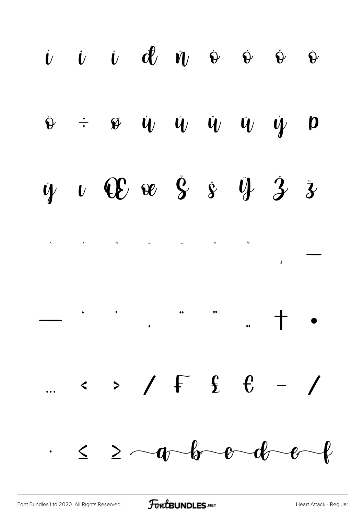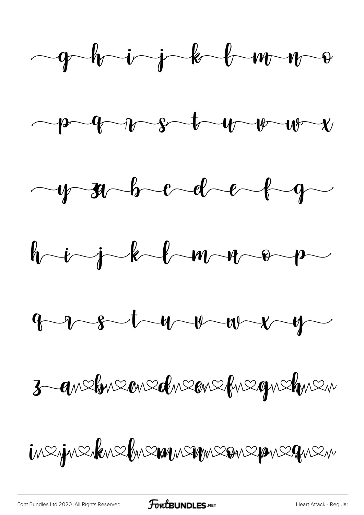